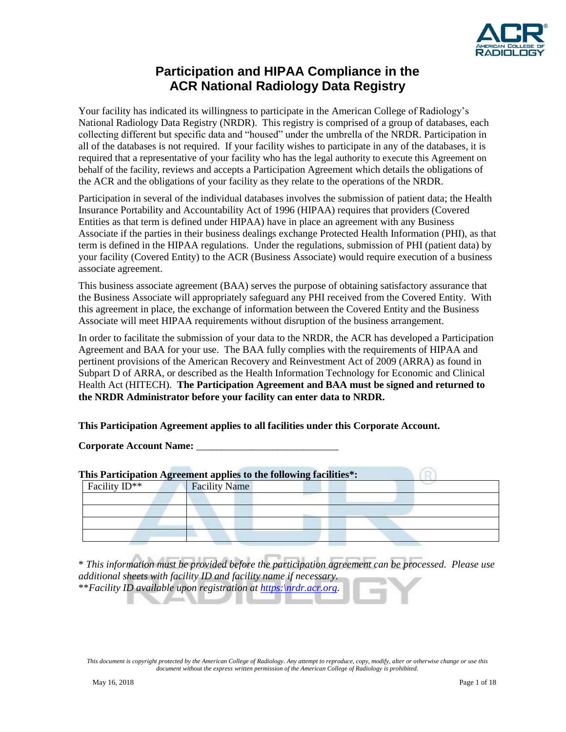

## **Participation and HIPAA Compliance in the ACR National Radiology Data Registry**

Your facility has indicated its willingness to participate in the American College of Radiology's National Radiology Data Registry (NRDR). This registry is comprised of a group of databases, each collecting different but specific data and "housed" under the umbrella of the NRDR. Participation in all of the databases is not required. If your facility wishes to participate in any of the databases, it is required that a representative of your facility who has the legal authority to execute this Agreement on behalf of the facility, reviews and accepts a Participation Agreement which details the obligations of the ACR and the obligations of your facility as they relate to the operations of the NRDR.

Participation in several of the individual databases involves the submission of patient data; the Health Insurance Portability and Accountability Act of 1996 (HIPAA) requires that providers (Covered Entities as that term is defined under HIPAA) have in place an agreement with any Business Associate if the parties in their business dealings exchange Protected Health Information (PHI), as that term is defined in the HIPAA regulations. Under the regulations, submission of PHI (patient data) by your facility (Covered Entity) to the ACR (Business Associate) would require execution of a business associate agreement.

This business associate agreement (BAA) serves the purpose of obtaining satisfactory assurance that the Business Associate will appropriately safeguard any PHI received from the Covered Entity. With this agreement in place, the exchange of information between the Covered Entity and the Business Associate will meet HIPAA requirements without disruption of the business arrangement.

In order to facilitate the submission of your data to the NRDR, the ACR has developed a Participation Agreement and BAA for your use. The BAA fully complies with the requirements of HIPAA and pertinent provisions of the American Recovery and Reinvestment Act of 2009 (ARRA) as found in Subpart D of ARRA, or described as the Health Information Technology for Economic and Clinical Health Act (HITECH). **The Participation Agreement and BAA must be signed and returned to the NRDR Administrator before your facility can enter data to NRDR.** 

#### **This Participation Agreement applies to all facilities under this Corporate Account.**

Corporate Account Name:

| This Participation Agreement applies to the following facilities*: |                      |  |  |  |
|--------------------------------------------------------------------|----------------------|--|--|--|
| Facility $ID^{**}$                                                 | <b>Facility Name</b> |  |  |  |
|                                                                    |                      |  |  |  |
|                                                                    |                      |  |  |  |
|                                                                    |                      |  |  |  |
|                                                                    |                      |  |  |  |

\* *This information must be provided before the participation agreement can be processed. Please use additional sheets with facility ID and facility name if necessary.* \*\**Facility ID available upon registration at [https:\nrdr.acr.org.](https://nrdr.acr.org/)*

*This document is copyright protected by the American College of Radiology. Any attempt to reproduce, copy, modify, alter or otherwise change or use this document without the express written permission of the American College of Radiology is prohibited.*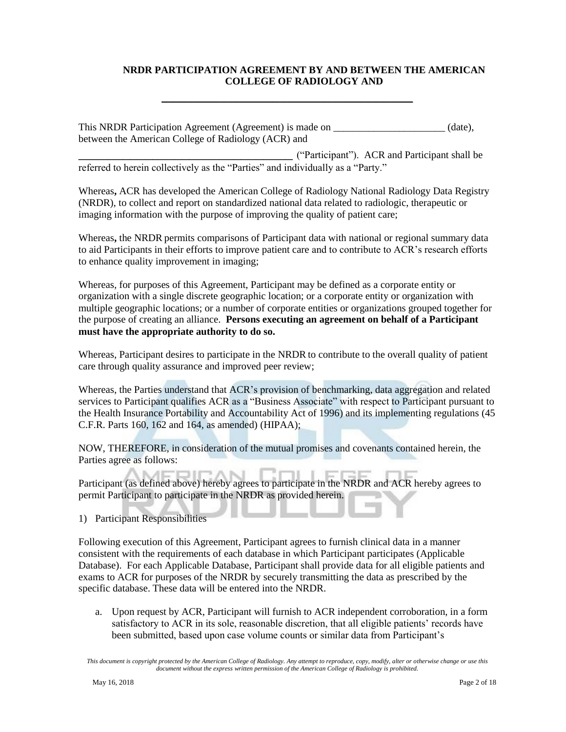#### **NRDR PARTICIPATION AGREEMENT BY AND BETWEEN THE AMERICAN COLLEGE OF RADIOLOGY AND**

This NRDR Participation Agreement (Agreement) is made on \_\_\_\_\_\_\_\_\_\_\_\_\_\_\_\_\_\_\_\_\_\_\_ (date), between the American College of Radiology (ACR) and

**\_\_\_\_\_\_\_\_\_\_\_\_\_\_\_\_\_\_\_\_\_\_\_\_\_\_\_\_\_\_\_\_\_\_**

\_\_\_\_\_\_\_\_\_\_\_\_\_\_\_\_\_\_\_\_\_\_\_\_\_\_\_\_\_ ("Participant"). ACR and Participant shall be referred to herein collectively as the "Parties" and individually as a "Party."

Whereas**,** ACR has developed the American College of Radiology National Radiology Data Registry (NRDR), to collect and report on standardized national data related to radiologic, therapeutic or imaging information with the purpose of improving the quality of patient care;

Whereas**,** the NRDR permits comparisons of Participant data with national or regional summary data to aid Participants in their efforts to improve patient care and to contribute to ACR's research efforts to enhance quality improvement in imaging;

Whereas, for purposes of this Agreement, Participant may be defined as a corporate entity or organization with a single discrete geographic location; or a corporate entity or organization with multiple geographic locations; or a number of corporate entities or organizations grouped together for the purpose of creating an alliance. **Persons executing an agreement on behalf of a Participant must have the appropriate authority to do so.**

Whereas, Participant desires to participate in the NRDR to contribute to the overall quality of patient care through quality assurance and improved peer review;

Whereas, the Parties understand that ACR's provision of benchmarking, data aggregation and related services to Participant qualifies ACR as a "Business Associate" with respect to Participant pursuant to the Health Insurance Portability and Accountability Act of 1996) and its implementing regulations (45 C.F.R. Parts 160, 162 and 164, as amended) (HIPAA);

NOW, THEREFORE, in consideration of the mutual promises and covenants contained herein, the Parties agree as follows:

Participant (as defined above) hereby agrees to participate in the NRDR and ACR hereby agrees to permit Participant to participate in the NRDR as provided herein.

1) Participant Responsibilities

Following execution of this Agreement, Participant agrees to furnish clinical data in a manner consistent with the requirements of each database in which Participant participates (Applicable Database). For each Applicable Database, Participant shall provide data for all eligible patients and exams to ACR for purposes of the NRDR by securely transmitting the data as prescribed by the specific database. These data will be entered into the NRDR.

a. Upon request by ACR, Participant will furnish to ACR independent corroboration, in a form satisfactory to ACR in its sole, reasonable discretion, that all eligible patients' records have been submitted, based upon case volume counts or similar data from Participant's

*This document is copyright protected by the American College of Radiology. Any attempt to reproduce, copy, modify, alter or otherwise change or use this document without the express written permission of the American College of Radiology is prohibited.*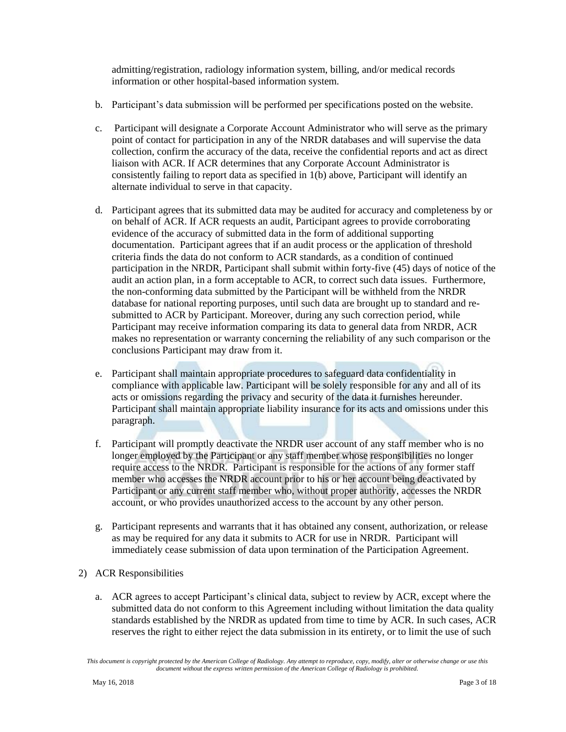admitting/registration, radiology information system, billing, and/or medical records information or other hospital-based information system.

- b. Participant's data submission will be performed per specifications posted on the website.
- c. Participant will designate a Corporate Account Administrator who will serve as the primary point of contact for participation in any of the NRDR databases and will supervise the data collection, confirm the accuracy of the data, receive the confidential reports and act as direct liaison with ACR. If ACR determines that any Corporate Account Administrator is consistently failing to report data as specified in 1(b) above, Participant will identify an alternate individual to serve in that capacity.
- d. Participant agrees that its submitted data may be audited for accuracy and completeness by or on behalf of ACR. If ACR requests an audit, Participant agrees to provide corroborating evidence of the accuracy of submitted data in the form of additional supporting documentation. Participant agrees that if an audit process or the application of threshold criteria finds the data do not conform to ACR standards, as a condition of continued participation in the NRDR, Participant shall submit within forty-five (45) days of notice of the audit an action plan, in a form acceptable to ACR, to correct such data issues. Furthermore, the non-conforming data submitted by the Participant will be withheld from the NRDR database for national reporting purposes, until such data are brought up to standard and resubmitted to ACR by Participant. Moreover, during any such correction period, while Participant may receive information comparing its data to general data from NRDR, ACR makes no representation or warranty concerning the reliability of any such comparison or the conclusions Participant may draw from it.
- e. Participant shall maintain appropriate procedures to safeguard data confidentiality in compliance with applicable law. Participant will be solely responsible for any and all of its acts or omissions regarding the privacy and security of the data it furnishes hereunder. Participant shall maintain appropriate liability insurance for its acts and omissions under this paragraph.
- f. Participant will promptly deactivate the NRDR user account of any staff member who is no longer employed by the Participant or any staff member whose responsibilities no longer require access to the NRDR. Participant is responsible for the actions of any former staff member who accesses the NRDR account prior to his or her account being deactivated by Participant or any current staff member who, without proper authority, accesses the NRDR account, or who provides unauthorized access to the account by any other person.
- g. Participant represents and warrants that it has obtained any consent, authorization, or release as may be required for any data it submits to ACR for use in NRDR. Participant will immediately cease submission of data upon termination of the Participation Agreement.
- 2) ACR Responsibilities
	- a. ACR agrees to accept Participant's clinical data, subject to review by ACR, except where the submitted data do not conform to this Agreement including without limitation the data quality standards established by the NRDR as updated from time to time by ACR. In such cases, ACR reserves the right to either reject the data submission in its entirety, or to limit the use of such

*This document is copyright protected by the American College of Radiology. Any attempt to reproduce, copy, modify, alter or otherwise change or use this document without the express written permission of the American College of Radiology is prohibited.*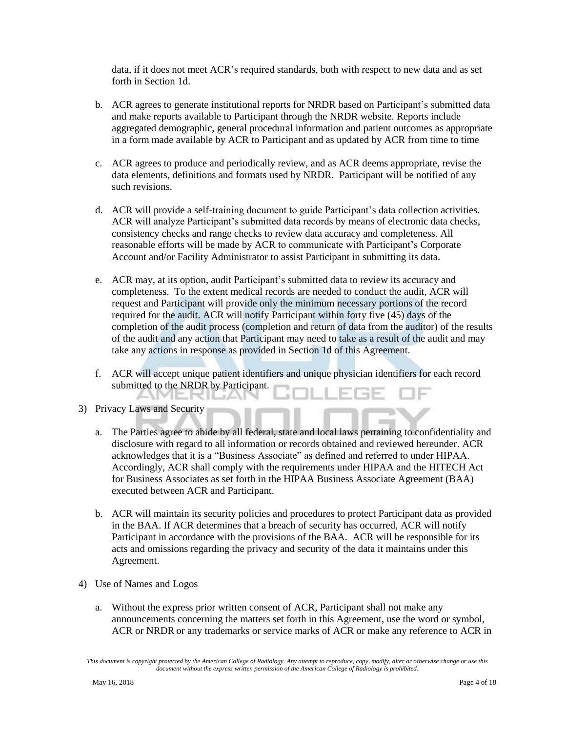data, if it does not meet ACR's required standards, both with respect to new data and as set forth in Section 1d.

- b. ACR agrees to generate institutional reports for NRDR based on Participant's submitted data and make reports available to Participant through the NRDR website. Reports include aggregated demographic, general procedural information and patient outcomes as appropriate in a form made available by ACR to Participant and as updated by ACR from time to time
- c. ACR agrees to produce and periodically review, and as ACR deems appropriate, revise the data elements, definitions and formats used by NRDR. Participant will be notified of any such revisions.
- d. ACR will provide a self-training document to guide Participant's data collection activities. ACR will analyze Participant's submitted data records by means of electronic data checks, consistency checks and range checks to review data accuracy and completeness. All reasonable efforts will be made by ACR to communicate with Participant's Corporate Account and/or Facility Administrator to assist Participant in submitting its data.
- e. ACR may, at its option, audit Participant's submitted data to review its accuracy and completeness. To the extent medical records are needed to conduct the audit, ACR will request and Participant will provide only the minimum necessary portions of the record required for the audit. ACR will notify Participant within forty five (45) days of the completion of the audit process (completion and return of data from the auditor) of the results of the audit and any action that Participant may need to take as a result of the audit and may take any actions in response as provided in Section 1d of this Agreement.
- f. ACR will accept unique patient identifiers and unique physician identifiers for each record submitted to the NRDR by Participant.
- 3) Privacy Laws and Security

Jell J

- a. The Parties agree to abide by all federal, state and local laws pertaining to confidentiality and disclosure with regard to all information or records obtained and reviewed hereunder. ACR acknowledges that it is a "Business Associate" as defined and referred to under HIPAA. Accordingly, ACR shall comply with the requirements under HIPAA and the HITECH Act for Business Associates as set forth in the HIPAA Business Associate Agreement (BAA) executed between ACR and Participant.
- b. ACR will maintain its security policies and procedures to protect Participant data as provided in the BAA. If ACR determines that a breach of security has occurred, ACR will notify Participant in accordance with the provisions of the BAA. ACR will be responsible for its acts and omissions regarding the privacy and security of the data it maintains under this Agreement.
- 4) Use of Names and Logos
	- a. Without the express prior written consent of ACR, Participant shall not make any announcements concerning the matters set forth in this Agreement, use the word or symbol, ACR or NRDR or any trademarks or service marks of ACR or make any reference to ACR in

*This document is copyright protected by the American College of Radiology. Any attempt to reproduce, copy, modify, alter or otherwise change or use this document without the express written permission of the American College of Radiology is prohibited.*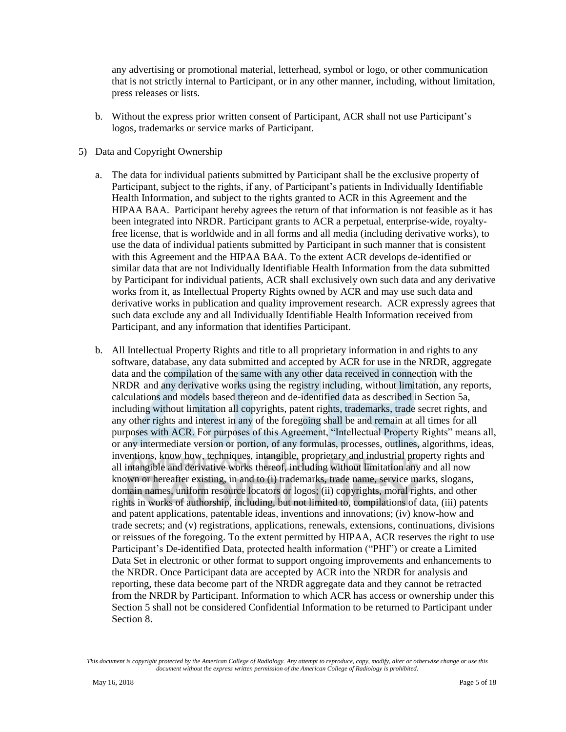any advertising or promotional material, letterhead, symbol or logo, or other communication that is not strictly internal to Participant, or in any other manner, including, without limitation, press releases or lists.

- b. Without the express prior written consent of Participant, ACR shall not use Participant's logos, trademarks or service marks of Participant.
- 5) Data and Copyright Ownership
	- a. The data for individual patients submitted by Participant shall be the exclusive property of Participant, subject to the rights, if any, of Participant's patients in Individually Identifiable Health Information, and subject to the rights granted to ACR in this Agreement and the HIPAA BAA. Participant hereby agrees the return of that information is not feasible as it has been integrated into NRDR. Participant grants to ACR a perpetual, enterprise-wide, royaltyfree license, that is worldwide and in all forms and all media (including derivative works), to use the data of individual patients submitted by Participant in such manner that is consistent with this Agreement and the HIPAA BAA. To the extent ACR develops de-identified or similar data that are not Individually Identifiable Health Information from the data submitted by Participant for individual patients, ACR shall exclusively own such data and any derivative works from it, as Intellectual Property Rights owned by ACR and may use such data and derivative works in publication and quality improvement research. ACR expressly agrees that such data exclude any and all Individually Identifiable Health Information received from Participant, and any information that identifies Participant.
	- b. All Intellectual Property Rights and title to all proprietary information in and rights to any software, database, any data submitted and accepted by ACR for use in the NRDR, aggregate data and the compilation of the same with any other data received in connection with the NRDR and any derivative works using the registry including, without limitation, any reports, calculations and models based thereon and de-identified data as described in Section 5a, including without limitation all copyrights, patent rights, trademarks, trade secret rights, and any other rights and interest in any of the foregoing shall be and remain at all times for all purposes with ACR. For purposes of this Agreement, "Intellectual Property Rights" means all, or any intermediate version or portion, of any formulas, processes, outlines, algorithms, ideas, inventions, know how, techniques, intangible, proprietary and industrial property rights and all intangible and derivative works thereof, including without limitation any and all now known or hereafter existing, in and to (i) trademarks, trade name, service marks, slogans, domain names, uniform resource locators or logos; (ii) copyrights, moral rights, and other rights in works of authorship, including, but not limited to, compilations of data, (iii) patents and patent applications, patentable ideas, inventions and innovations; (iv) know-how and trade secrets; and (v) registrations, applications, renewals, extensions, continuations, divisions or reissues of the foregoing. To the extent permitted by HIPAA, ACR reserves the right to use Participant's De-identified Data, protected health information ("PHI") or create a Limited Data Set in electronic or other format to support ongoing improvements and enhancements to the NRDR. Once Participant data are accepted by ACR into the NRDR for analysis and reporting, these data become part of the NRDR aggregate data and they cannot be retracted from the NRDR by Participant. Information to which ACR has access or ownership under this Section 5 shall not be considered Confidential Information to be returned to Participant under Section 8.

*This document is copyright protected by the American College of Radiology. Any attempt to reproduce, copy, modify, alter or otherwise change or use this document without the express written permission of the American College of Radiology is prohibited.*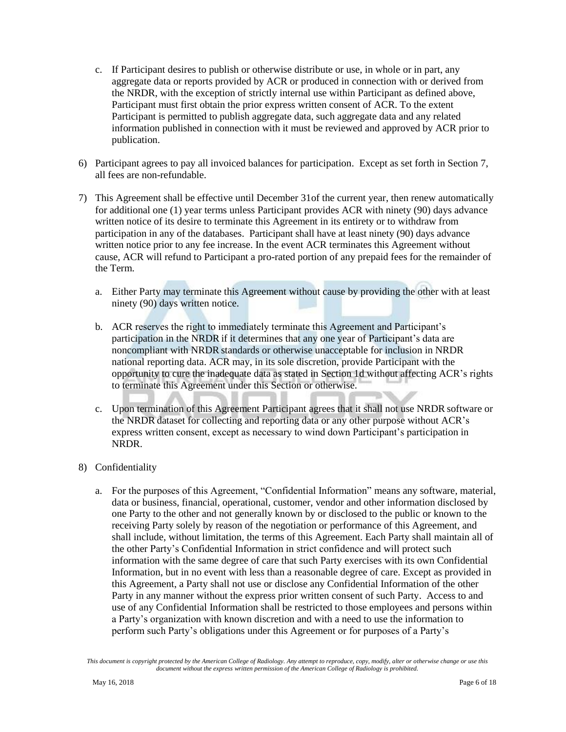- c. If Participant desires to publish or otherwise distribute or use, in whole or in part, any aggregate data or reports provided by ACR or produced in connection with or derived from the NRDR, with the exception of strictly internal use within Participant as defined above, Participant must first obtain the prior express written consent of ACR. To the extent Participant is permitted to publish aggregate data, such aggregate data and any related information published in connection with it must be reviewed and approved by ACR prior to publication.
- 6) Participant agrees to pay all invoiced balances for participation. Except as set forth in Section 7, all fees are non-refundable.
- 7) This Agreement shall be effective until December 31of the current year, then renew automatically for additional one (1) year terms unless Participant provides ACR with ninety (90) days advance written notice of its desire to terminate this Agreement in its entirety or to withdraw from participation in any of the databases. Participant shall have at least ninety (90) days advance written notice prior to any fee increase. In the event ACR terminates this Agreement without cause, ACR will refund to Participant a pro-rated portion of any prepaid fees for the remainder of the Term.
	- a. Either Party may terminate this Agreement without cause by providing the other with at least ninety (90) days written notice.
	- b. ACR reserves the right to immediately terminate this Agreement and Participant's participation in the NRDR if it determines that any one year of Participant's data are noncompliant with NRDR standards or otherwise unacceptable for inclusion in NRDR national reporting data. ACR may, in its sole discretion, provide Participant with the opportunity to cure the inadequate data as stated in Section 1d without affecting ACR's rights to terminate this Agreement under this Section or otherwise.
	- c. Upon termination of this Agreement Participant agrees that it shall not use NRDR software or the NRDR dataset for collecting and reporting data or any other purpose without ACR's express written consent, except as necessary to wind down Participant's participation in NRDR.
- 8) Confidentiality
	- a. For the purposes of this Agreement, "Confidential Information" means any software, material, data or business, financial, operational, customer, vendor and other information disclosed by one Party to the other and not generally known by or disclosed to the public or known to the receiving Party solely by reason of the negotiation or performance of this Agreement, and shall include, without limitation, the terms of this Agreement. Each Party shall maintain all of the other Party's Confidential Information in strict confidence and will protect such information with the same degree of care that such Party exercises with its own Confidential Information, but in no event with less than a reasonable degree of care. Except as provided in this Agreement, a Party shall not use or disclose any Confidential Information of the other Party in any manner without the express prior written consent of such Party. Access to and use of any Confidential Information shall be restricted to those employees and persons within a Party's organization with known discretion and with a need to use the information to perform such Party's obligations under this Agreement or for purposes of a Party's

*This document is copyright protected by the American College of Radiology. Any attempt to reproduce, copy, modify, alter or otherwise change or use this document without the express written permission of the American College of Radiology is prohibited.*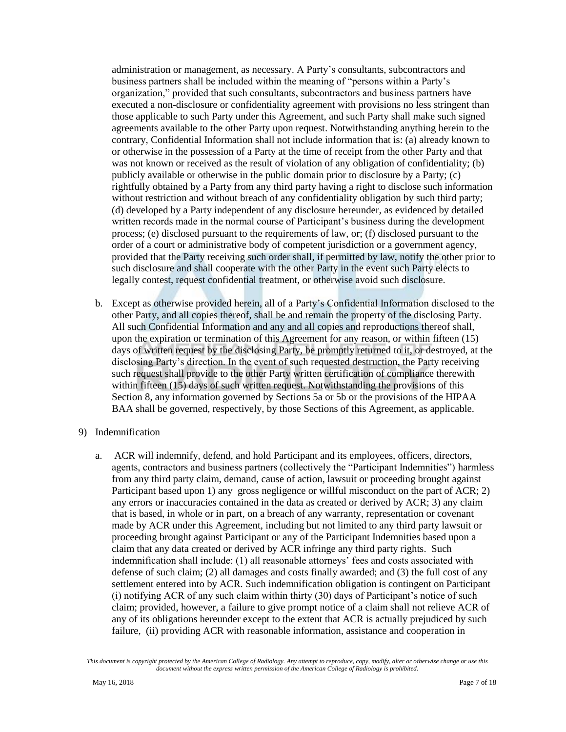administration or management, as necessary. A Party's consultants, subcontractors and business partners shall be included within the meaning of "persons within a Party's organization," provided that such consultants, subcontractors and business partners have executed a non-disclosure or confidentiality agreement with provisions no less stringent than those applicable to such Party under this Agreement, and such Party shall make such signed agreements available to the other Party upon request. Notwithstanding anything herein to the contrary, Confidential Information shall not include information that is: (a) already known to or otherwise in the possession of a Party at the time of receipt from the other Party and that was not known or received as the result of violation of any obligation of confidentiality; (b) publicly available or otherwise in the public domain prior to disclosure by a Party; (c) rightfully obtained by a Party from any third party having a right to disclose such information without restriction and without breach of any confidentiality obligation by such third party; (d) developed by a Party independent of any disclosure hereunder, as evidenced by detailed written records made in the normal course of Participant's business during the development process; (e) disclosed pursuant to the requirements of law, or; (f) disclosed pursuant to the order of a court or administrative body of competent jurisdiction or a government agency, provided that the Party receiving such order shall, if permitted by law, notify the other prior to such disclosure and shall cooperate with the other Party in the event such Party elects to legally contest, request confidential treatment, or otherwise avoid such disclosure.

- b. Except as otherwise provided herein, all of a Party's Confidential Information disclosed to the other Party, and all copies thereof, shall be and remain the property of the disclosing Party. All such Confidential Information and any and all copies and reproductions thereof shall, upon the expiration or termination of this Agreement for any reason, or within fifteen (15) days of written request by the disclosing Party, be promptly returned to it, or destroyed, at the disclosing Party's direction. In the event of such requested destruction, the Party receiving such request shall provide to the other Party written certification of compliance therewith within fifteen (15) days of such written request. Notwithstanding the provisions of this Section 8, any information governed by Sections 5a or 5b or the provisions of the HIPAA BAA shall be governed, respectively, by those Sections of this Agreement, as applicable.
- 9) Indemnification
	- a. ACR will indemnify, defend, and hold Participant and its employees, officers, directors, agents, contractors and business partners (collectively the "Participant Indemnities") harmless from any third party claim, demand, cause of action, lawsuit or proceeding brought against Participant based upon 1) any gross negligence or willful misconduct on the part of ACR; 2) any errors or inaccuracies contained in the data as created or derived by ACR; 3) any claim that is based, in whole or in part, on a breach of any warranty, representation or covenant made by ACR under this Agreement, including but not limited to any third party lawsuit or proceeding brought against Participant or any of the Participant Indemnities based upon a claim that any data created or derived by ACR infringe any third party rights. Such indemnification shall include: (1) all reasonable attorneys' fees and costs associated with defense of such claim; (2) all damages and costs finally awarded; and (3) the full cost of any settlement entered into by ACR. Such indemnification obligation is contingent on Participant (i) notifying ACR of any such claim within thirty (30) days of Participant's notice of such claim; provided, however, a failure to give prompt notice of a claim shall not relieve ACR of any of its obligations hereunder except to the extent that ACR is actually prejudiced by such failure, (ii) providing ACR with reasonable information, assistance and cooperation in

*This document is copyright protected by the American College of Radiology. Any attempt to reproduce, copy, modify, alter or otherwise change or use this document without the express written permission of the American College of Radiology is prohibited.*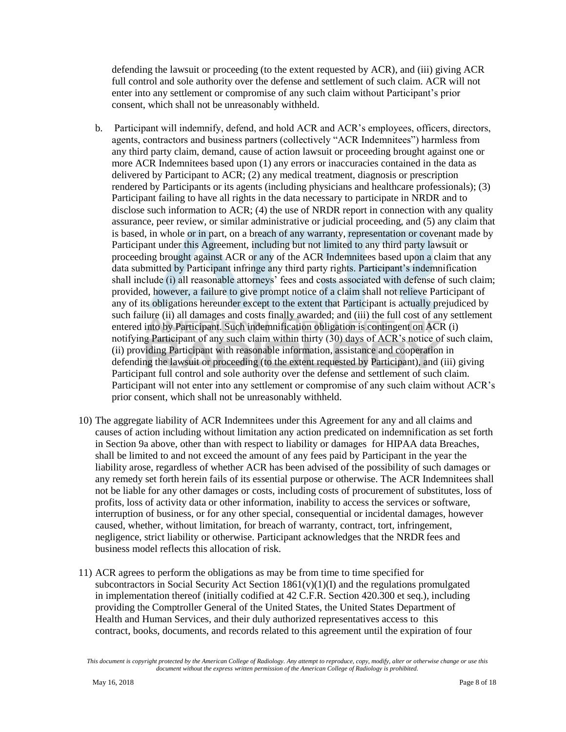defending the lawsuit or proceeding (to the extent requested by ACR), and (iii) giving ACR full control and sole authority over the defense and settlement of such claim. ACR will not enter into any settlement or compromise of any such claim without Participant's prior consent, which shall not be unreasonably withheld.

- b. Participant will indemnify, defend, and hold ACR and ACR's employees, officers, directors, agents, contractors and business partners (collectively "ACR Indemnitees") harmless from any third party claim, demand, cause of action lawsuit or proceeding brought against one or more ACR Indemnitees based upon (1) any errors or inaccuracies contained in the data as delivered by Participant to ACR; (2) any medical treatment, diagnosis or prescription rendered by Participants or its agents (including physicians and healthcare professionals); (3) Participant failing to have all rights in the data necessary to participate in NRDR and to disclose such information to ACR; (4) the use of NRDR report in connection with any quality assurance, peer review, or similar administrative or judicial proceeding, and (5) any claim that is based, in whole or in part, on a breach of any warranty, representation or covenant made by Participant under this Agreement, including but not limited to any third party lawsuit or proceeding brought against ACR or any of the ACR Indemnitees based upon a claim that any data submitted by Participant infringe any third party rights. Participant's indemnification shall include (i) all reasonable attorneys' fees and costs associated with defense of such claim; provided, however, a failure to give prompt notice of a claim shall not relieve Participant of any of its obligations hereunder except to the extent that Participant is actually prejudiced by such failure (ii) all damages and costs finally awarded; and (iii) the full cost of any settlement entered into by Participant. Such indemnification obligation is contingent on ACR (i) notifying Participant of any such claim within thirty (30) days of ACR's notice of such claim, (ii) providing Participant with reasonable information, assistance and cooperation in defending the lawsuit or proceeding (to the extent requested by Participant), and (iii) giving Participant full control and sole authority over the defense and settlement of such claim. Participant will not enter into any settlement or compromise of any such claim without ACR's prior consent, which shall not be unreasonably withheld.
- 10) The aggregate liability of ACR Indemnitees under this Agreement for any and all claims and causes of action including without limitation any action predicated on indemnification as set forth in Section 9a above, other than with respect to liability or damages for HIPAA data Breaches, shall be limited to and not exceed the amount of any fees paid by Participant in the year the liability arose, regardless of whether ACR has been advised of the possibility of such damages or any remedy set forth herein fails of its essential purpose or otherwise. The ACR Indemnitees shall not be liable for any other damages or costs, including costs of procurement of substitutes, loss of profits, loss of activity data or other information, inability to access the services or software, interruption of business, or for any other special, consequential or incidental damages, however caused, whether, without limitation, for breach of warranty, contract, tort, infringement, negligence, strict liability or otherwise. Participant acknowledges that the NRDR fees and business model reflects this allocation of risk.
- 11) ACR agrees to perform the obligations as may be from time to time specified for subcontractors in Social Security Act Section  $1861(v)(1)(I)$  and the regulations promulgated in implementation thereof (initially codified at 42 C.F.R. Section 420.300 et seq.), including providing the Comptroller General of the United States, the United States Department of Health and Human Services, and their duly authorized representatives access to this contract, books, documents, and records related to this agreement until the expiration of four

*This document is copyright protected by the American College of Radiology. Any attempt to reproduce, copy, modify, alter or otherwise change or use this document without the express written permission of the American College of Radiology is prohibited.*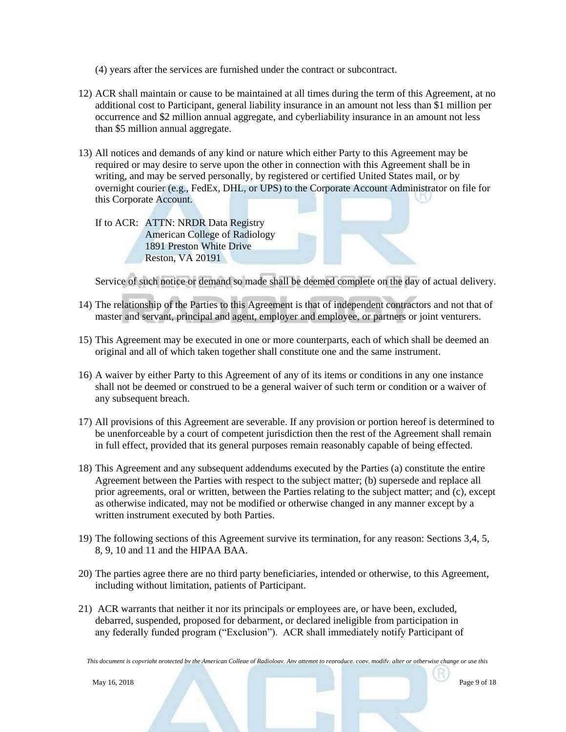- (4) years after the services are furnished under the contract or subcontract.
- 12) ACR shall maintain or cause to be maintained at all times during the term of this Agreement, at no additional cost to Participant, general liability insurance in an amount not less than \$1 million per occurrence and \$2 million annual aggregate, and cyberliability insurance in an amount not less than \$5 million annual aggregate.
- 13) All notices and demands of any kind or nature which either Party to this Agreement may be required or may desire to serve upon the other in connection with this Agreement shall be in writing, and may be served personally, by registered or certified United States mail, or by overnight courier (e.g., FedEx, DHL, or UPS) to the Corporate Account Administrator on file for this Corporate Account.

If to ACR: ATTN: NRDR Data Registry American College of Radiology 1891 Preston White Drive Reston, VA 20191

Service of such notice or demand so made shall be deemed complete on the day of actual delivery.

- 14) The relationship of the Parties to this Agreement is that of independent contractors and not that of master and servant, principal and agent, employer and employee, or partners or joint venturers.
- 15) This Agreement may be executed in one or more counterparts, each of which shall be deemed an original and all of which taken together shall constitute one and the same instrument.
- 16) A waiver by either Party to this Agreement of any of its items or conditions in any one instance shall not be deemed or construed to be a general waiver of such term or condition or a waiver of any subsequent breach.
- 17) All provisions of this Agreement are severable. If any provision or portion hereof is determined to be unenforceable by a court of competent jurisdiction then the rest of the Agreement shall remain in full effect, provided that its general purposes remain reasonably capable of being effected.
- 18) This Agreement and any subsequent addendums executed by the Parties (a) constitute the entire Agreement between the Parties with respect to the subject matter; (b) supersede and replace all prior agreements, oral or written, between the Parties relating to the subject matter; and (c), except as otherwise indicated, may not be modified or otherwise changed in any manner except by a written instrument executed by both Parties.
- 19) The following sections of this Agreement survive its termination, for any reason: Sections 3,4, 5, 8, 9, 10 and 11 and the HIPAA BAA.
- 20) The parties agree there are no third party beneficiaries, intended or otherwise, to this Agreement, including without limitation, patients of Participant.
- 21) ACR warrants that neither it nor its principals or employees are, or have been, excluded, debarred, suspended, proposed for debarment, or declared ineligible from participation in any federally funded program ("Exclusion"). ACR shall immediately notify Participant of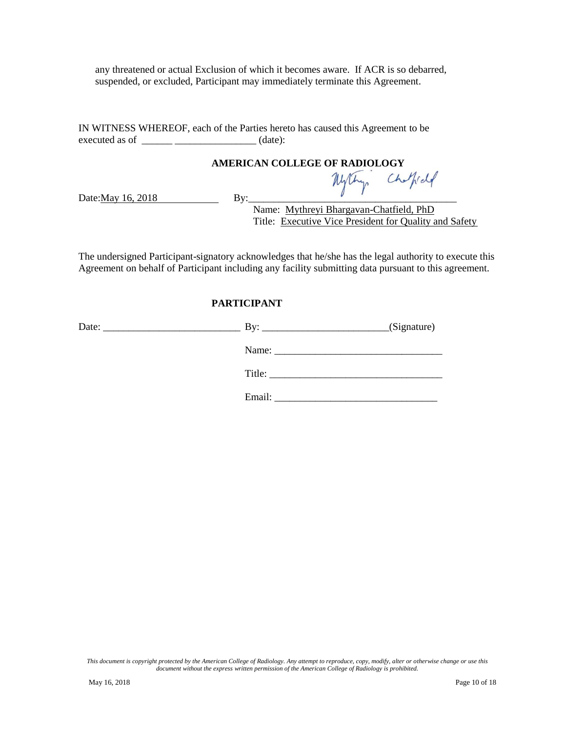any threatened or actual Exclusion of which it becomes aware. If ACR is so debarred, suspended, or excluded, Participant may immediately terminate this Agreement.

IN WITNESS WHEREOF, each of the Parties hereto has caused this Agreement to be executed as of \_\_\_\_\_\_\_\_\_\_\_\_\_\_\_\_\_\_\_\_\_\_\_\_\_\_\_\_\_(date):

# **AMERICAN COLLEGE OF RADIOLOGY**

Date: $\frac{May 16, 2018}{By:}$ 

Name: Mythreyi Bhargavan-Chatfield, PhD Title: Executive Vice President for Quality and Safety

The undersigned Participant-signatory acknowledges that he/she has the legal authority to execute this Agreement on behalf of Participant including any facility submitting data pursuant to this agreement.

#### **PARTICIPANT**

| Date:<br><u> 1989 - Johann Johann Harrison, markan basar da</u> |        | (Signature) |
|-----------------------------------------------------------------|--------|-------------|
|                                                                 |        |             |
|                                                                 |        | Title:      |
|                                                                 | Email: |             |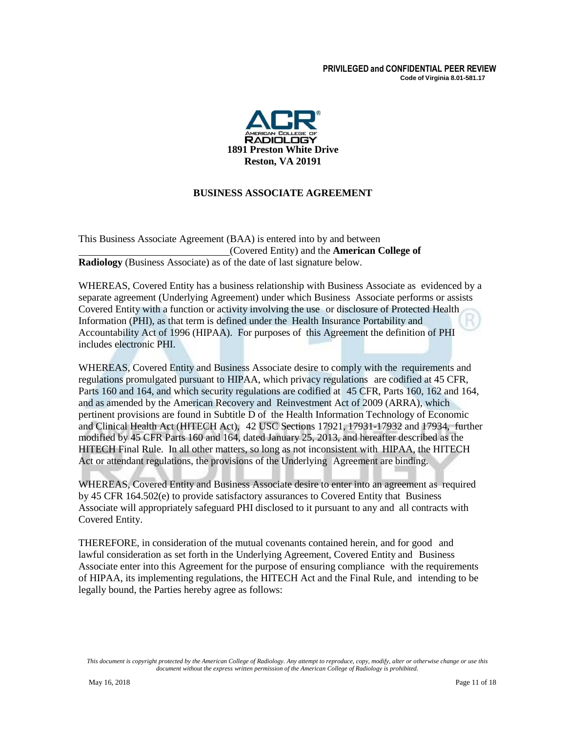#### **PRIVILEGED and CONFIDENTIAL PEER REVIEW Code of Virginia 8.01-581.17**



### **BUSINESS ASSOCIATE AGREEMENT**

This Business Associate Agreement (BAA) is entered into by and between (Covered Entity) and the **American College of Radiology** (Business Associate) as of the date of last signature below.

WHEREAS, Covered Entity has a business relationship with Business Associate as evidenced by a separate agreement (Underlying Agreement) under which Business Associate performs or assists Covered Entity with a function or activity involving the use or disclosure of Protected Health Information (PHI), as that term is defined under the Health Insurance Portability and Accountability Act of 1996 (HIPAA). For purposes of this Agreement the definition of PHI includes electronic PHI.

WHEREAS, Covered Entity and Business Associate desire to comply with the requirements and regulations promulgated pursuant to HIPAA, which privacy regulations are codified at 45 CFR, Parts 160 and 164, and which security regulations are codified at 45 CFR, Parts 160, 162 and 164, and as amended by the American Recovery and Reinvestment Act of 2009 (ARRA), which pertinent provisions are found in Subtitle D of the Health Information Technology of Economic and Clinical Health Act (HITECH Act), 42 USC Sections 17921, 17931-17932 and 17934, further modified by 45 CFR Parts 160 and 164, dated January 25, 2013, and hereafter described as the HITECH Final Rule. In all other matters, so long as not inconsistent with HIPAA, the HITECH Act or attendant regulations, the provisions of the Underlying Agreement are binding.

WHEREAS, Covered Entity and Business Associate desire to enter into an agreement as required by 45 CFR 164.502(e) to provide satisfactory assurances to Covered Entity that Business Associate will appropriately safeguard PHI disclosed to it pursuant to any and all contracts with Covered Entity.

THEREFORE, in consideration of the mutual covenants contained herein, and for good and lawful consideration as set forth in the Underlying Agreement, Covered Entity and Business Associate enter into this Agreement for the purpose of ensuring compliance with the requirements of HIPAA, its implementing regulations, the HITECH Act and the Final Rule, and intending to be legally bound, the Parties hereby agree as follows: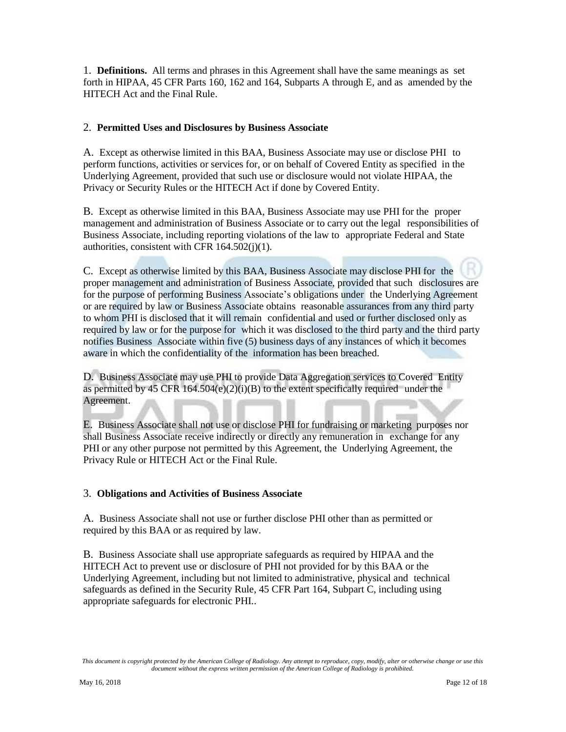1. **Definitions.** All terms and phrases in this Agreement shall have the same meanings as set forth in HIPAA, 45 CFR Parts 160, 162 and 164, Subparts A through E, and as amended by the HITECH Act and the Final Rule.

#### 2. **Permitted Uses and Disclosures by Business Associate**

A. Except as otherwise limited in this BAA, Business Associate may use or disclose PHI to perform functions, activities or services for, or on behalf of Covered Entity as specified in the Underlying Agreement, provided that such use or disclosure would not violate HIPAA, the Privacy or Security Rules or the HITECH Act if done by Covered Entity.

B. Except as otherwise limited in this BAA, Business Associate may use PHI for the proper management and administration of Business Associate or to carry out the legal responsibilities of Business Associate, including reporting violations of the law to appropriate Federal and State authorities, consistent with CFR 164.502(j)(1).

C. Except as otherwise limited by this BAA, Business Associate may disclose PHI for the proper management and administration of Business Associate, provided that such disclosures are for the purpose of performing Business Associate's obligations under the Underlying Agreement or are required by law or Business Associate obtains reasonable assurances from any third party to whom PHI is disclosed that it will remain confidential and used or further disclosed only as required by law or for the purpose for which it was disclosed to the third party and the third party notifies Business Associate within five (5) business days of any instances of which it becomes aware in which the confidentiality of the information has been breached.

D. Business Associate may use PHI to provide Data Aggregation services to Covered Entity as permitted by 45 CFR  $164.504(e)(2)(i)(B)$  to the extent specifically required under the Agreement.

E. Business Associate shall not use or disclose PHI for fundraising or marketing purposes nor shall Business Associate receive indirectly or directly any remuneration in exchange for any PHI or any other purpose not permitted by this Agreement, the Underlying Agreement, the Privacy Rule or HITECH Act or the Final Rule.

#### 3. **Obligations and Activities of Business Associate**

A. Business Associate shall not use or further disclose PHI other than as permitted or required by this BAA or as required by law.

B. Business Associate shall use appropriate safeguards as required by HIPAA and the HITECH Act to prevent use or disclosure of PHI not provided for by this BAA or the Underlying Agreement, including but not limited to administrative, physical and technical safeguards as defined in the Security Rule, 45 CFR Part 164, Subpart C, including using appropriate safeguards for electronic PHI..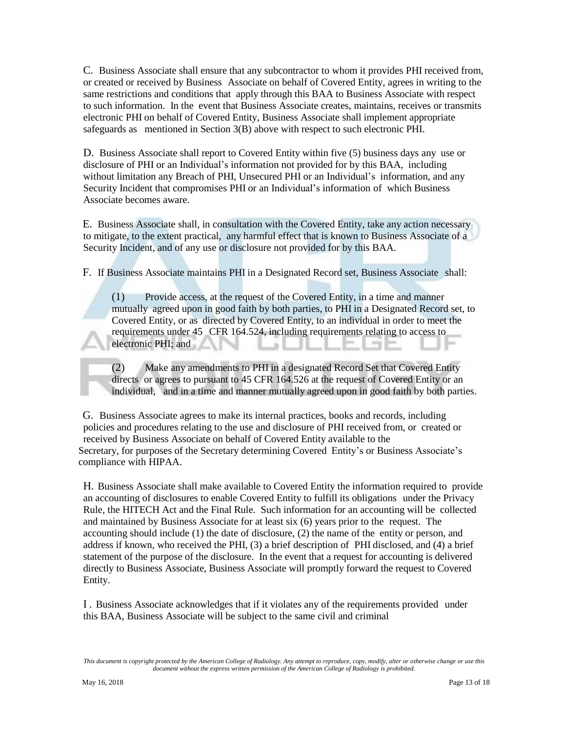C. Business Associate shall ensure that any subcontractor to whom it provides PHI received from, or created or received by Business Associate on behalf of Covered Entity, agrees in writing to the same restrictions and conditions that apply through this BAA to Business Associate with respect to such information. In the event that Business Associate creates, maintains, receives or transmits electronic PHI on behalf of Covered Entity, Business Associate shall implement appropriate safeguards as mentioned in Section 3(B) above with respect to such electronic PHI.

D. Business Associate shall report to Covered Entity within five (5) business days any use or disclosure of PHI or an Individual's information not provided for by this BAA, including without limitation any Breach of PHI, Unsecured PHI or an Individual's information, and any Security Incident that compromises PHI or an Individual's information of which Business Associate becomes aware.

E. Business Associate shall, in consultation with the Covered Entity, take any action necessary to mitigate, to the extent practical, any harmful effect that is known to Business Associate of a Security Incident, and of any use or disclosure not provided for by this BAA.

F. If Business Associate maintains PHI in a Designated Record set, Business Associate shall:

(1) Provide access, at the request of the Covered Entity, in a time and manner mutually agreed upon in good faith by both parties, to PHI in a Designated Record set, to Covered Entity, or as directed by Covered Entity, to an individual in order to meet the requirements under 45 CFR 164.524, including requirements relating to access to electronic PHI; and

(2) Make any amendments to PHI in a designated Record Set that Covered Entity directs or agrees to pursuant to 45 CFR 164.526 at the request of Covered Entity or an individual, and in a time and manner mutually agreed upon in good faith by both parties.

G. Business Associate agrees to make its internal practices, books and records, including policies and procedures relating to the use and disclosure of PHI received from, or created or received by Business Associate on behalf of Covered Entity available to the Secretary, for purposes of the Secretary determining Covered Entity's or Business Associate's compliance with HIPAA.

H. Business Associate shall make available to Covered Entity the information required to provide an accounting of disclosures to enable Covered Entity to fulfill its obligations under the Privacy Rule, the HITECH Act and the Final Rule. Such information for an accounting will be collected and maintained by Business Associate for at least six (6) years prior to the request. The accounting should include (1) the date of disclosure, (2) the name of the entity or person, and address if known, who received the PHI, (3) a brief description of PHI disclosed, and (4) a brief statement of the purpose of the disclosure. In the event that a request for accounting is delivered directly to Business Associate, Business Associate will promptly forward the request to Covered Entity.

I . Business Associate acknowledges that if it violates any of the requirements provided under this BAA, Business Associate will be subject to the same civil and criminal

*This document is copyright protected by the American College of Radiology. Any attempt to reproduce, copy, modify, alter or otherwise change or use this document without the express written permission of the American College of Radiology is prohibited.*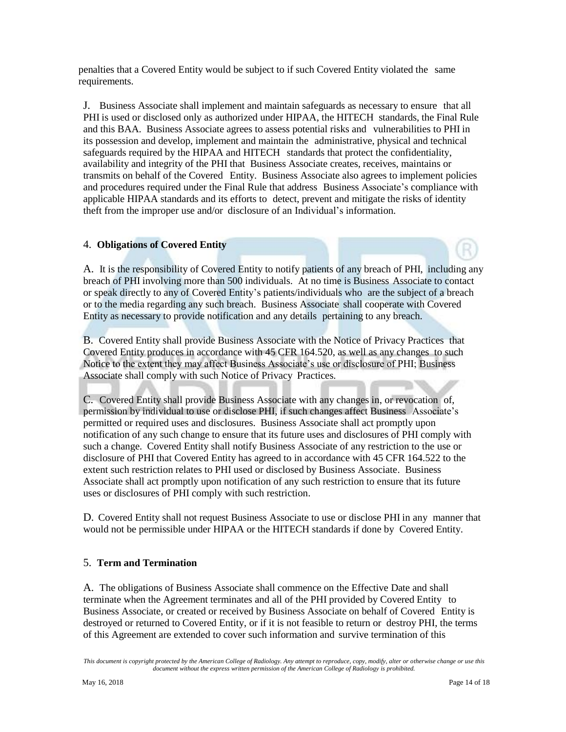penalties that a Covered Entity would be subject to if such Covered Entity violated the same requirements.

J. Business Associate shall implement and maintain safeguards as necessary to ensure that all PHI is used or disclosed only as authorized under HIPAA, the HITECH standards, the Final Rule and this BAA. Business Associate agrees to assess potential risks and vulnerabilities to PHI in its possession and develop, implement and maintain the administrative, physical and technical safeguards required by the HIPAA and HITECH standards that protect the confidentiality, availability and integrity of the PHI that Business Associate creates, receives, maintains or transmits on behalf of the Covered Entity. Business Associate also agrees to implement policies and procedures required under the Final Rule that address Business Associate's compliance with applicable HIPAA standards and its efforts to detect, prevent and mitigate the risks of identity theft from the improper use and/or disclosure of an Individual's information.

#### 4. **Obligations of Covered Entity**

A. It is the responsibility of Covered Entity to notify patients of any breach of PHI, including any breach of PHI involving more than 500 individuals. At no time is Business Associate to contact or speak directly to any of Covered Entity's patients/individuals who are the subject of a breach or to the media regarding any such breach. Business Associate shall cooperate with Covered Entity as necessary to provide notification and any details pertaining to any breach.

B. Covered Entity shall provide Business Associate with the Notice of Privacy Practices that Covered Entity produces in accordance with 45 CFR 164.520, as well as any changes to such Notice to the extent they may affect Business Associate's use or disclosure of PHI; Business Associate shall comply with such Notice of Privacy Practices.

C. Covered Entity shall provide Business Associate with any changes in, or revocation of, permission by individual to use or disclose PHI, if such changes affect Business Associate's permitted or required uses and disclosures. Business Associate shall act promptly upon notification of any such change to ensure that its future uses and disclosures of PHI comply with such a change. Covered Entity shall notify Business Associate of any restriction to the use or disclosure of PHI that Covered Entity has agreed to in accordance with 45 CFR 164.522 to the extent such restriction relates to PHI used or disclosed by Business Associate. Business Associate shall act promptly upon notification of any such restriction to ensure that its future uses or disclosures of PHI comply with such restriction.

D. Covered Entity shall not request Business Associate to use or disclose PHI in any manner that would not be permissible under HIPAA or the HITECH standards if done by Covered Entity.

#### 5. **Term and Termination**

A. The obligations of Business Associate shall commence on the Effective Date and shall terminate when the Agreement terminates and all of the PHI provided by Covered Entity to Business Associate, or created or received by Business Associate on behalf of Covered Entity is destroyed or returned to Covered Entity, or if it is not feasible to return or destroy PHI, the terms of this Agreement are extended to cover such information and survive termination of this

*This document is copyright protected by the American College of Radiology. Any attempt to reproduce, copy, modify, alter or otherwise change or use this document without the express written permission of the American College of Radiology is prohibited.*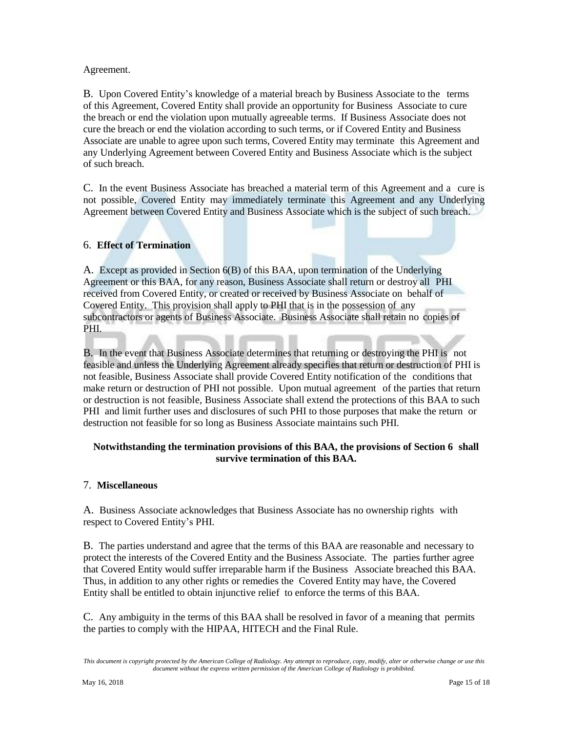#### Agreement.

B. Upon Covered Entity's knowledge of a material breach by Business Associate to the terms of this Agreement, Covered Entity shall provide an opportunity for Business Associate to cure the breach or end the violation upon mutually agreeable terms. If Business Associate does not cure the breach or end the violation according to such terms, or if Covered Entity and Business Associate are unable to agree upon such terms, Covered Entity may terminate this Agreement and any Underlying Agreement between Covered Entity and Business Associate which is the subject of such breach.

C. In the event Business Associate has breached a material term of this Agreement and a cure is not possible, Covered Entity may immediately terminate this Agreement and any Underlying Agreement between Covered Entity and Business Associate which is the subject of such breach.

### 6. **Effect of Termination**

A. Except as provided in Section 6(B) of this BAA, upon termination of the Underlying Agreement or this BAA, for any reason, Business Associate shall return or destroy all PHI received from Covered Entity, or created or received by Business Associate on behalf of Covered Entity. This provision shall apply to PHI that is in the possession of any subcontractors or agents of Business Associate. Business Associate shall retain no copies of PHI.

B. In the event that Business Associate determines that returning or destroying the PHI is not feasible and unless the Underlying Agreement already specifies that return or destruction of PHI is not feasible, Business Associate shall provide Covered Entity notification of the conditions that make return or destruction of PHI not possible. Upon mutual agreement of the parties that return or destruction is not feasible, Business Associate shall extend the protections of this BAA to such PHI and limit further uses and disclosures of such PHI to those purposes that make the return or destruction not feasible for so long as Business Associate maintains such PHI.

#### **Notwithstanding the termination provisions of this BAA, the provisions of Section 6 shall survive termination of this BAA.**

#### 7. **Miscellaneous**

A. Business Associate acknowledges that Business Associate has no ownership rights with respect to Covered Entity's PHI.

B. The parties understand and agree that the terms of this BAA are reasonable and necessary to protect the interests of the Covered Entity and the Business Associate. The parties further agree that Covered Entity would suffer irreparable harm if the Business Associate breached this BAA. Thus, in addition to any other rights or remedies the Covered Entity may have, the Covered Entity shall be entitled to obtain injunctive relief to enforce the terms of this BAA.

C. Any ambiguity in the terms of this BAA shall be resolved in favor of a meaning that permits the parties to comply with the HIPAA, HITECH and the Final Rule.

*This document is copyright protected by the American College of Radiology. Any attempt to reproduce, copy, modify, alter or otherwise change or use this document without the express written permission of the American College of Radiology is prohibited.*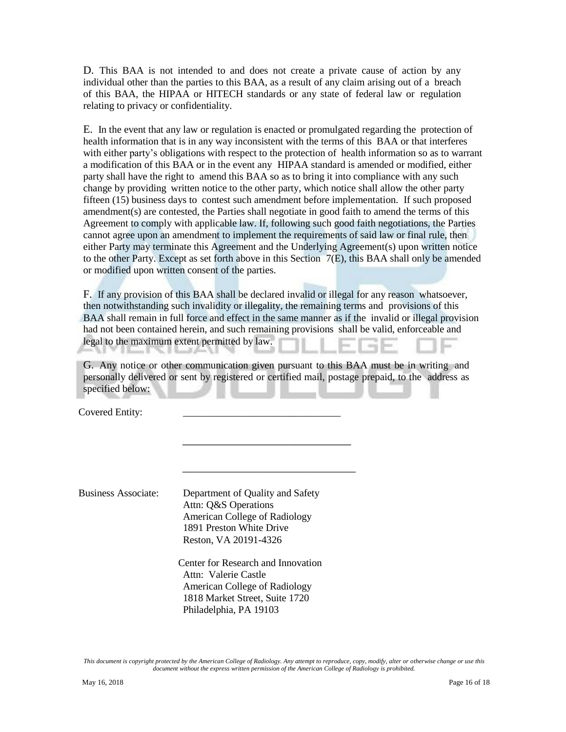D. This BAA is not intended to and does not create a private cause of action by any individual other than the parties to this BAA, as a result of any claim arising out of a breach of this BAA, the HIPAA or HITECH standards or any state of federal law or regulation relating to privacy or confidentiality.

E. In the event that any law or regulation is enacted or promulgated regarding the protection of health information that is in any way inconsistent with the terms of this BAA or that interferes with either party's obligations with respect to the protection of health information so as to warrant a modification of this BAA or in the event any HIPAA standard is amended or modified, either party shall have the right to amend this BAA so as to bring it into compliance with any such change by providing written notice to the other party, which notice shall allow the other party fifteen (15) business days to contest such amendment before implementation. If such proposed amendment(s) are contested, the Parties shall negotiate in good faith to amend the terms of this Agreement to comply with applicable law. If, following such good faith negotiations, the Parties cannot agree upon an amendment to implement the requirements of said law or final rule, then either Party may terminate this Agreement and the Underlying Agreement(s) upon written notice to the other Party. Except as set forth above in this Section 7(E), this BAA shall only be amended or modified upon written consent of the parties.

F. If any provision of this BAA shall be declared invalid or illegal for any reason whatsoever, then notwithstanding such invalidity or illegality, the remaining terms and provisions of this BAA shall remain in full force and effect in the same manner as if the invalid or illegal provision had not been contained herein, and such remaining provisions shall be valid, enforceable and legal to the maximum extent permitted by law.

G. Any notice or other communication given pursuant to this BAA must be in writing and personally delivered or sent by registered or certified mail, postage prepaid, to the address as specified below:

\_\_\_\_\_\_\_\_\_\_\_\_\_\_\_\_\_\_\_\_\_\_\_\_\_\_\_

\_\_\_\_\_\_\_\_\_\_\_\_\_\_\_\_\_\_\_\_\_\_\_\_\_\_\_\_\_\_

Covered Entity:

Business Associate: Department of Quality and Safety Attn: Q&S Operations American College of Radiology 1891 Preston White Drive Reston, VA 20191-4326

> Center for Research and Innovation Attn: Valerie Castle American College of Radiology 1818 Market Street, Suite 1720 Philadelphia, PA 19103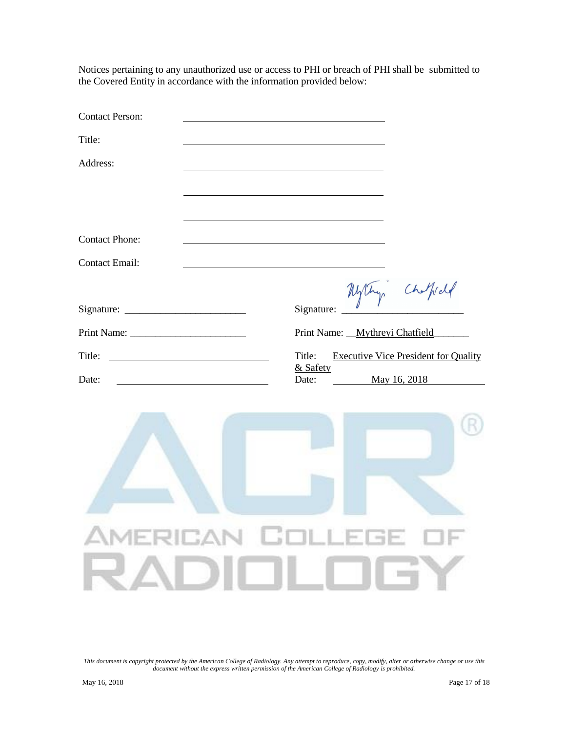Notices pertaining to any unauthorized use or access to PHI or breach of PHI shall be submitted to the Covered Entity in accordance with the information provided below:

| <b>Contact Person:</b>                                                                                                                                                                                                                         |                                                       |
|------------------------------------------------------------------------------------------------------------------------------------------------------------------------------------------------------------------------------------------------|-------------------------------------------------------|
| Title:                                                                                                                                                                                                                                         |                                                       |
| Address:                                                                                                                                                                                                                                       |                                                       |
|                                                                                                                                                                                                                                                |                                                       |
|                                                                                                                                                                                                                                                |                                                       |
| <b>Contact Phone:</b>                                                                                                                                                                                                                          |                                                       |
| <b>Contact Email:</b>                                                                                                                                                                                                                          |                                                       |
|                                                                                                                                                                                                                                                | Mythy Chippel                                         |
|                                                                                                                                                                                                                                                | Signature:                                            |
|                                                                                                                                                                                                                                                | Print Name: __Mythreyi Chatfield_                     |
| Title:<br><u>and the contract of the contract of the contract of the contract of the contract of the contract of the contract of the contract of the contract of the contract of the contract of the contract of the contract of the contr</u> | Title:<br><b>Executive Vice President for Quality</b> |
| Date:                                                                                                                                                                                                                                          | & Safety<br>Date:<br>May 16, 2018                     |
|                                                                                                                                                                                                                                                |                                                       |
|                                                                                                                                                                                                                                                |                                                       |
|                                                                                                                                                                                                                                                |                                                       |
|                                                                                                                                                                                                                                                |                                                       |
|                                                                                                                                                                                                                                                |                                                       |
|                                                                                                                                                                                                                                                | AMERICAN COLLEGE OF                                   |
|                                                                                                                                                                                                                                                |                                                       |
|                                                                                                                                                                                                                                                | RADIOLOGY                                             |
|                                                                                                                                                                                                                                                |                                                       |